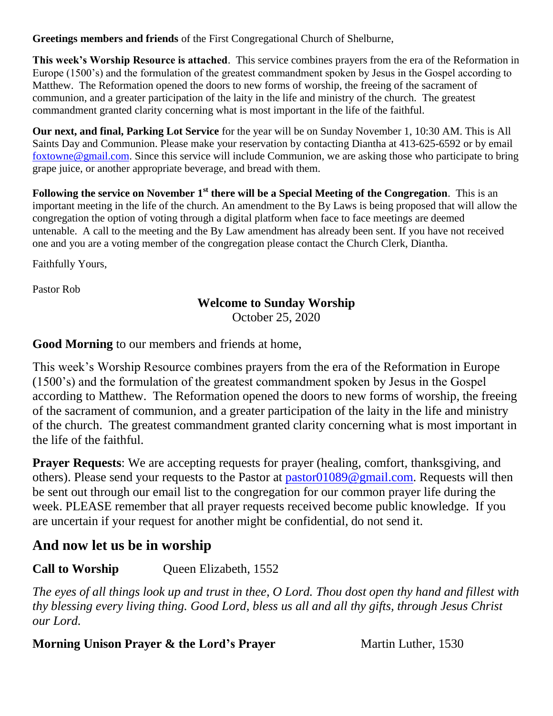**Greetings members and friends** of the First Congregational Church of Shelburne,

**This week's Worship Resource is attached**. This service combines prayers from the era of the Reformation in Europe (1500's) and the formulation of the greatest commandment spoken by Jesus in the Gospel according to Matthew. The Reformation opened the doors to new forms of worship, the freeing of the sacrament of communion, and a greater participation of the laity in the life and ministry of the church. The greatest commandment granted clarity concerning what is most important in the life of the faithful.

**Our next, and final, Parking Lot Service** for the year will be on Sunday November 1, 10:30 AM. This is All Saints Day and Communion. Please make your reservation by contacting Diantha at 413-625-6592 or by email [foxtowne@gmail.com.](mailto:foxtowne@gmail.com) Since this service will include Communion, we are asking those who participate to bring grape juice, or another appropriate beverage, and bread with them.

**Following the service on November 1st there will be a Special Meeting of the Congregation**. This is an important meeting in the life of the church. An amendment to the By Laws is being proposed that will allow the congregation the option of voting through a digital platform when face to face meetings are deemed untenable. A call to the meeting and the By Law amendment has already been sent. If you have not received one and you are a voting member of the congregation please contact the Church Clerk, Diantha.

Faithfully Yours,

Pastor Rob

### **Welcome to Sunday Worship**

October 25, 2020

**Good Morning** to our members and friends at home,

This week's Worship Resource combines prayers from the era of the Reformation in Europe (1500's) and the formulation of the greatest commandment spoken by Jesus in the Gospel according to Matthew. The Reformation opened the doors to new forms of worship, the freeing of the sacrament of communion, and a greater participation of the laity in the life and ministry of the church. The greatest commandment granted clarity concerning what is most important in the life of the faithful.

**Prayer Requests**: We are accepting requests for prayer (healing, comfort, thanksgiving, and others). Please send your requests to the Pastor at [pastor01089@gmail.com.](mailto:pastor01089@gmail.com) Requests will then be sent out through our email list to the congregation for our common prayer life during the week. PLEASE remember that all prayer requests received become public knowledge. If you are uncertain if your request for another might be confidential, do not send it.

# **And now let us be in worship**

**Call to Worship** Queen Elizabeth, 1552

*The eyes of all things look up and trust in thee, O Lord. Thou dost open thy hand and fillest with thy blessing every living thing. Good Lord, bless us all and all thy gifts, through Jesus Christ our Lord.*

#### **Morning Unison Prayer & the Lord's Prayer** Martin Luther, 1530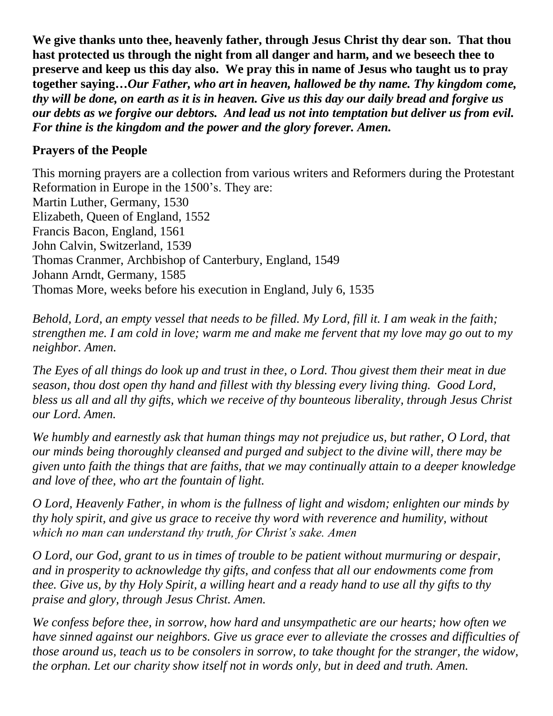**We give thanks unto thee, heavenly father, through Jesus Christ thy dear son. That thou hast protected us through the night from all danger and harm, and we beseech thee to preserve and keep us this day also. We pray this in name of Jesus who taught us to pray together saying…***Our Father, who art in heaven, hallowed be thy name. Thy kingdom come, thy will be done, on earth as it is in heaven. Give us this day our daily bread and forgive us our debts as we forgive our debtors. And lead us not into temptation but deliver us from evil. For thine is the kingdom and the power and the glory forever. Amen.*

#### **Prayers of the People**

This morning prayers are a collection from various writers and Reformers during the Protestant Reformation in Europe in the 1500's. They are: Martin Luther, Germany, 1530 Elizabeth, Queen of England, 1552 Francis Bacon, England, 1561 John Calvin, Switzerland, 1539 Thomas Cranmer, Archbishop of Canterbury, England, 1549 Johann Arndt, Germany, 1585 Thomas More, weeks before his execution in England, July 6, 1535

*Behold, Lord, an empty vessel that needs to be filled. My Lord, fill it. I am weak in the faith; strengthen me. I am cold in love; warm me and make me fervent that my love may go out to my neighbor. Amen.*

*The Eyes of all things do look up and trust in thee, o Lord. Thou givest them their meat in due season, thou dost open thy hand and fillest with thy blessing every living thing. Good Lord, bless us all and all thy gifts, which we receive of thy bounteous liberality, through Jesus Christ our Lord. Amen.*

*We humbly and earnestly ask that human things may not prejudice us, but rather, O Lord, that our minds being thoroughly cleansed and purged and subject to the divine will, there may be given unto faith the things that are faiths, that we may continually attain to a deeper knowledge and love of thee, who art the fountain of light.*

*O Lord, Heavenly Father, in whom is the fullness of light and wisdom; enlighten our minds by thy holy spirit, and give us grace to receive thy word with reverence and humility, without which no man can understand thy truth, for Christ's sake. Amen*

*O Lord, our God, grant to us in times of trouble to be patient without murmuring or despair, and in prosperity to acknowledge thy gifts, and confess that all our endowments come from thee. Give us, by thy Holy Spirit, a willing heart and a ready hand to use all thy gifts to thy praise and glory, through Jesus Christ. Amen.*

*We confess before thee, in sorrow, how hard and unsympathetic are our hearts; how often we have sinned against our neighbors. Give us grace ever to alleviate the crosses and difficulties of those around us, teach us to be consolers in sorrow, to take thought for the stranger, the widow, the orphan. Let our charity show itself not in words only, but in deed and truth. Amen.*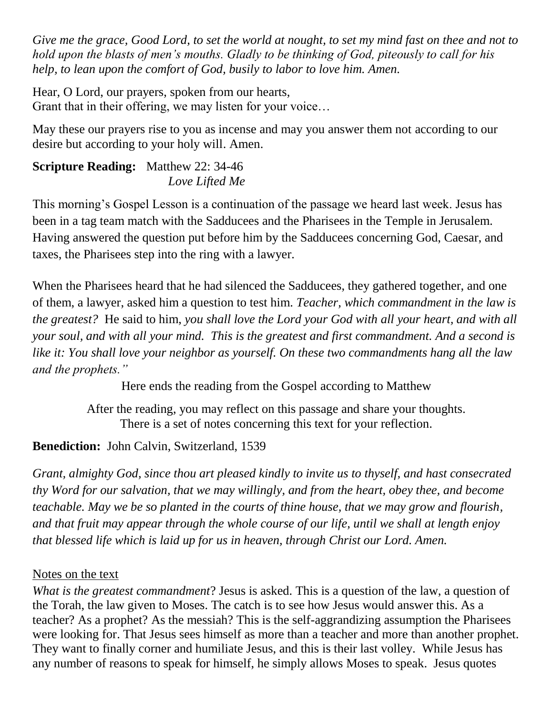*Give me the grace, Good Lord, to set the world at nought, to set my mind fast on thee and not to hold upon the blasts of men's mouths. Gladly to be thinking of God, piteously to call for his help, to lean upon the comfort of God, busily to labor to love him. Amen.*

Hear, O Lord, our prayers, spoken from our hearts, Grant that in their offering, we may listen for your voice…

May these our prayers rise to you as incense and may you answer them not according to our desire but according to your holy will. Amen.

#### **Scripture Reading:** Matthew 22: 34-46 *Love Lifted Me*

This morning's Gospel Lesson is a continuation of the passage we heard last week. Jesus has been in a tag team match with the Sadducees and the Pharisees in the Temple in Jerusalem. Having answered the question put before him by the Sadducees concerning God, Caesar, and taxes, the Pharisees step into the ring with a lawyer.

When the Pharisees heard that he had silenced the Sadducees, they gathered together, and one of them, a lawyer, asked him a question to test him. *Teacher, which commandment in the law is the greatest?* He said to him, *you shall love the Lord your God with all your heart, and with all your soul, and with all your mind. This is the greatest and first commandment. And a second is like it: You shall love your neighbor as yourself. On these two commandments hang all the law and the prophets."*

Here ends the reading from the Gospel according to Matthew

After the reading, you may reflect on this passage and share your thoughts. There is a set of notes concerning this text for your reflection.

# **Benediction:** John Calvin, Switzerland, 1539

*Grant, almighty God, since thou art pleased kindly to invite us to thyself, and hast consecrated thy Word for our salvation, that we may willingly, and from the heart, obey thee, and become teachable. May we be so planted in the courts of thine house, that we may grow and flourish, and that fruit may appear through the whole course of our life, until we shall at length enjoy that blessed life which is laid up for us in heaven, through Christ our Lord. Amen.*

### Notes on the text

*What is the greatest commandment*? Jesus is asked. This is a question of the law, a question of the Torah, the law given to Moses. The catch is to see how Jesus would answer this. As a teacher? As a prophet? As the messiah? This is the self-aggrandizing assumption the Pharisees were looking for. That Jesus sees himself as more than a teacher and more than another prophet. They want to finally corner and humiliate Jesus, and this is their last volley. While Jesus has any number of reasons to speak for himself, he simply allows Moses to speak. Jesus quotes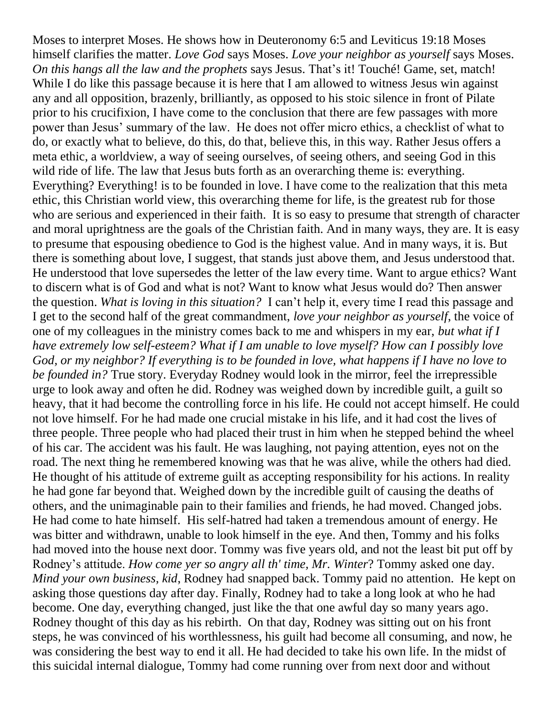Moses to interpret Moses. He shows how in Deuteronomy 6:5 and Leviticus 19:18 Moses himself clarifies the matter. *Love God* says Moses. *Love your neighbor as yourself* says Moses. *On this hangs all the law and the prophets* says Jesus. That's it! Touché! Game, set, match! While I do like this passage because it is here that I am allowed to witness Jesus win against any and all opposition, brazenly, brilliantly, as opposed to his stoic silence in front of Pilate prior to his crucifixion, I have come to the conclusion that there are few passages with more power than Jesus' summary of the law. He does not offer micro ethics, a checklist of what to do, or exactly what to believe, do this, do that, believe this, in this way. Rather Jesus offers a meta ethic, a worldview, a way of seeing ourselves, of seeing others, and seeing God in this wild ride of life. The law that Jesus buts forth as an overarching theme is: everything. Everything? Everything! is to be founded in love. I have come to the realization that this meta ethic, this Christian world view, this overarching theme for life, is the greatest rub for those who are serious and experienced in their faith. It is so easy to presume that strength of character and moral uprightness are the goals of the Christian faith. And in many ways, they are. It is easy to presume that espousing obedience to God is the highest value. And in many ways, it is. But there is something about love, I suggest, that stands just above them, and Jesus understood that. He understood that love supersedes the letter of the law every time. Want to argue ethics? Want to discern what is of God and what is not? Want to know what Jesus would do? Then answer the question. *What is loving in this situation?* I can't help it, every time I read this passage and I get to the second half of the great commandment, *love your neighbor as yourself*, the voice of one of my colleagues in the ministry comes back to me and whispers in my ear, *but what if I have extremely low self-esteem? What if I am unable to love myself? How can I possibly love God, or my neighbor? If everything is to be founded in love, what happens if I have no love to be founded in?* True story. Everyday Rodney would look in the mirror, feel the irrepressible urge to look away and often he did. Rodney was weighed down by incredible guilt, a guilt so heavy, that it had become the controlling force in his life. He could not accept himself. He could not love himself. For he had made one crucial mistake in his life, and it had cost the lives of three people. Three people who had placed their trust in him when he stepped behind the wheel of his car. The accident was his fault. He was laughing, not paying attention, eyes not on the road. The next thing he remembered knowing was that he was alive, while the others had died. He thought of his attitude of extreme guilt as accepting responsibility for his actions. In reality he had gone far beyond that. Weighed down by the incredible guilt of causing the deaths of others, and the unimaginable pain to their families and friends, he had moved. Changed jobs. He had come to hate himself. His self-hatred had taken a tremendous amount of energy. He was bitter and withdrawn, unable to look himself in the eye. And then, Tommy and his folks had moved into the house next door. Tommy was five years old, and not the least bit put off by Rodney's attitude. *How come yer so angry all th' time, Mr. Winter*? Tommy asked one day. *Mind your own business, kid*, Rodney had snapped back. Tommy paid no attention. He kept on asking those questions day after day. Finally, Rodney had to take a long look at who he had become. One day, everything changed, just like the that one awful day so many years ago. Rodney thought of this day as his rebirth. On that day, Rodney was sitting out on his front steps, he was convinced of his worthlessness, his guilt had become all consuming, and now, he was considering the best way to end it all. He had decided to take his own life. In the midst of this suicidal internal dialogue, Tommy had come running over from next door and without